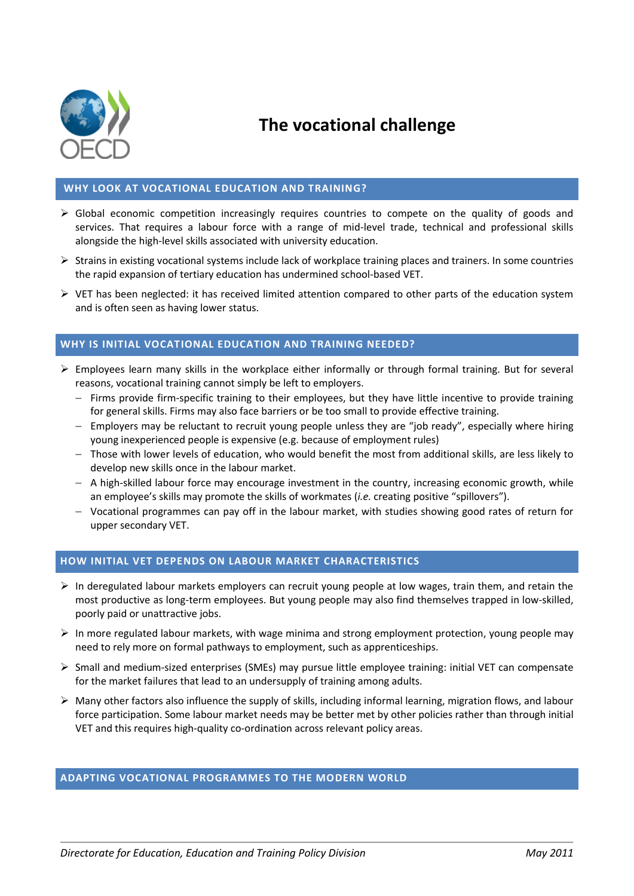

# **The vocational challenge**

## **WHY LOOK AT VOCATIONAL EDUCATION AND TRAINING?**

- $\triangleright$  Global economic competition increasingly requires countries to compete on the quality of goods and services. That requires a labour force with a range of mid-level trade, technical and professional skills alongside the high-level skills associated with university education.
- $\triangleright$  Strains in existing vocational systems include lack of workplace training places and trainers. In some countries the rapid expansion of tertiary education has undermined school-based VET.
- $\triangleright$  VET has been neglected: it has received limited attention compared to other parts of the education system and is often seen as having lower status.

## **WHY IS INITIAL VOCATIONAL EDUCATION AND TRAINING NEEDED?**

- $\triangleright$  Employees learn many skills in the workplace either informally or through formal training. But for several reasons, vocational training cannot simply be left to employers.
	- $-$  Firms provide firm-specific training to their employees, but they have little incentive to provide training for general skills. Firms may also face barriers or be too small to provide effective training.
	- $-$  Employers may be reluctant to recruit young people unless they are "job ready", especially where hiring young inexperienced people is expensive (e.g. because of employment rules)
	- Those with lower levels of education, who would benefit the most from additional skills, are less likely to develop new skills once in the labour market.
	- $-$  A high-skilled labour force may encourage investment in the country, increasing economic growth, while an employee's skills may promote the skills of workmates (*i.e.* creating positive "spillovers").
	- $-$  Vocational programmes can pay off in the labour market, with studies showing good rates of return for upper secondary VET.

#### **HOW INITIAL VET DEPENDS ON LABOUR MARKET CHARACTERISTICS**

- $\triangleright$  In deregulated labour markets employers can recruit young people at low wages, train them, and retain the most productive as long-term employees. But young people may also find themselves trapped in low-skilled, poorly paid or unattractive jobs.
- $\triangleright$  In more regulated labour markets, with wage minima and strong employment protection, young people may need to rely more on formal pathways to employment, such as apprenticeships.
- $\triangleright$  Small and medium-sized enterprises (SMEs) may pursue little employee training: initial VET can compensate for the market failures that lead to an undersupply of training among adults.
- $\triangleright$  Many other factors also influence the supply of skills, including informal learning, migration flows, and labour force participation. Some labour market needs may be better met by other policies rather than through initial VET and this requires high-quality co-ordination across relevant policy areas.

#### **ADAPTING VOCATIONAL PROGRAMMES TO THE MODERN WORLD**